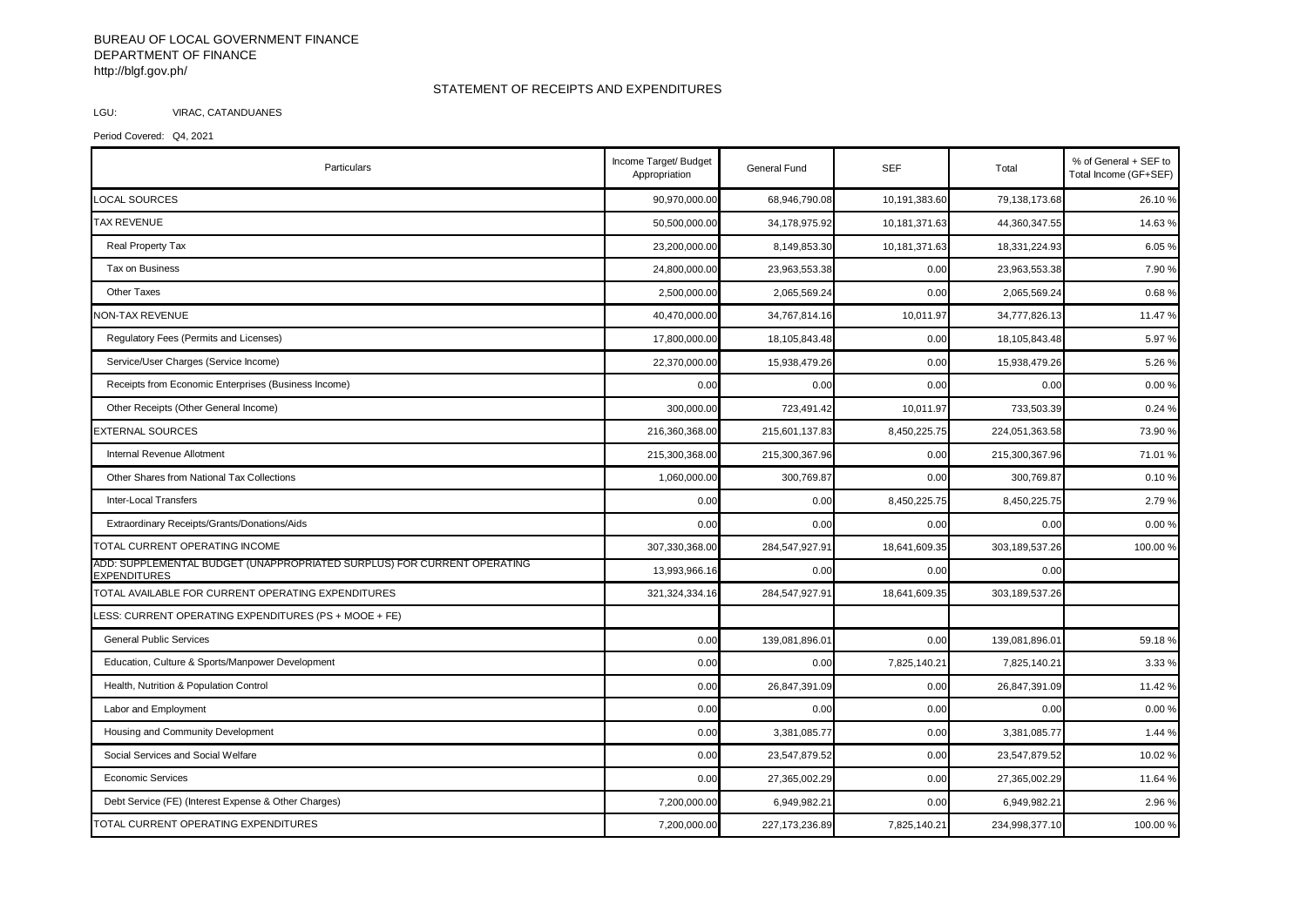## BUREAU OF LOCAL GOVERNMENT FINANCE DEPARTMENT OF FINANCE http://blgf.gov.ph/

## STATEMENT OF RECEIPTS AND EXPENDITURES

## LGU: VIRAC, CATANDUANES

Period Covered: Q4, 2021

| Particulars                                                                                    | Income Target/ Budget<br>Appropriation | General Fund     | <b>SEF</b>    | Total          | % of General + SEF to<br>Total Income (GF+SEF) |
|------------------------------------------------------------------------------------------------|----------------------------------------|------------------|---------------|----------------|------------------------------------------------|
| <b>LOCAL SOURCES</b>                                                                           | 90,970,000.00                          | 68,946,790.08    | 10,191,383.60 | 79,138,173.68  | 26.10%                                         |
| <b>TAX REVENUE</b>                                                                             | 50,500,000.00                          | 34,178,975.92    | 10,181,371.63 | 44,360,347.55  | 14.63%                                         |
| Real Property Tax                                                                              | 23,200,000.00                          | 8,149,853.30     | 10,181,371.63 | 18,331,224.93  | 6.05%                                          |
| Tax on Business                                                                                | 24,800,000.00                          | 23,963,553.38    | 0.00          | 23,963,553.38  | 7.90%                                          |
| <b>Other Taxes</b>                                                                             | 2,500,000.00                           | 2,065,569.24     | 0.00          | 2,065,569.24   | 0.68%                                          |
| <b>NON-TAX REVENUE</b>                                                                         | 40,470,000.00                          | 34,767,814.16    | 10,011.97     | 34,777,826.13  | 11.47 %                                        |
| Regulatory Fees (Permits and Licenses)                                                         | 17,800,000.00                          | 18,105,843.48    | 0.00          | 18,105,843.48  | 5.97 %                                         |
| Service/User Charges (Service Income)                                                          | 22,370,000.00                          | 15,938,479.26    | 0.00          | 15,938,479.26  | 5.26%                                          |
| Receipts from Economic Enterprises (Business Income)                                           | 0.00                                   | 0.00             | 0.00          | 0.00           | 0.00 %                                         |
| Other Receipts (Other General Income)                                                          | 300,000.00                             | 723,491.42       | 10,011.97     | 733,503.39     | 0.24%                                          |
| <b>EXTERNAL SOURCES</b>                                                                        | 216,360,368.00                         | 215,601,137.83   | 8,450,225.75  | 224,051,363.58 | 73.90 %                                        |
| Internal Revenue Allotment                                                                     | 215,300,368.00                         | 215,300,367.96   | 0.00          | 215,300,367.96 | 71.01 9                                        |
| Other Shares from National Tax Collections                                                     | 1,060,000.00                           | 300,769.87       | 0.00          | 300,769.87     | 0.10%                                          |
| Inter-Local Transfers                                                                          | 0.00                                   | 0.00             | 8,450,225.75  | 8,450,225.75   | 2.79%                                          |
| Extraordinary Receipts/Grants/Donations/Aids                                                   | 0.00                                   | 0.00             | 0.00          | 0.00           | 0.00%                                          |
| TOTAL CURRENT OPERATING INCOME                                                                 | 307,330,368.00                         | 284,547,927.91   | 18,641,609.35 | 303,189,537.26 | 100.00%                                        |
| ADD: SUPPLEMENTAL BUDGET (UNAPPROPRIATED SURPLUS) FOR CURRENT OPERATING<br><b>EXPENDITURES</b> | 13,993,966.16                          | 0.00             | 0.00          | 0.00           |                                                |
| TOTAL AVAILABLE FOR CURRENT OPERATING EXPENDITURES                                             | 321, 324, 334. 16                      | 284,547,927.91   | 18,641,609.35 | 303,189,537.26 |                                                |
| LESS: CURRENT OPERATING EXPENDITURES (PS + MOOE + FE)                                          |                                        |                  |               |                |                                                |
| <b>General Public Services</b>                                                                 | 0.00                                   | 139,081,896.01   | 0.00          | 139,081,896.01 | 59.18%                                         |
| Education, Culture & Sports/Manpower Development                                               | 0.00                                   | 0.00             | 7,825,140.21  | 7,825,140.21   | 3.33 %                                         |
| Health, Nutrition & Population Control                                                         | 0.00                                   | 26,847,391.09    | 0.00          | 26,847,391.09  | 11.42 %                                        |
| Labor and Employment                                                                           | 0.00                                   | 0.00             | 0.00          | 0.00           | 0.00%                                          |
| Housing and Community Development                                                              | 0.00                                   | 3,381,085.77     | 0.00          | 3,381,085.77   | 1.44 %                                         |
| Social Services and Social Welfare                                                             | 0.00                                   | 23,547,879.52    | 0.00          | 23,547,879.52  | 10.02 %                                        |
| <b>Economic Services</b>                                                                       | 0.00                                   | 27,365,002.29    | 0.00          | 27,365,002.29  | 11.64 %                                        |
| Debt Service (FE) (Interest Expense & Other Charges)                                           | 7,200,000.00                           | 6,949,982.21     | 0.00          | 6,949,982.2    | 2.96 %                                         |
| TOTAL CURRENT OPERATING EXPENDITURES                                                           | 7,200,000.00                           | 227, 173, 236.89 | 7,825,140.21  | 234,998,377.10 | 100.00%                                        |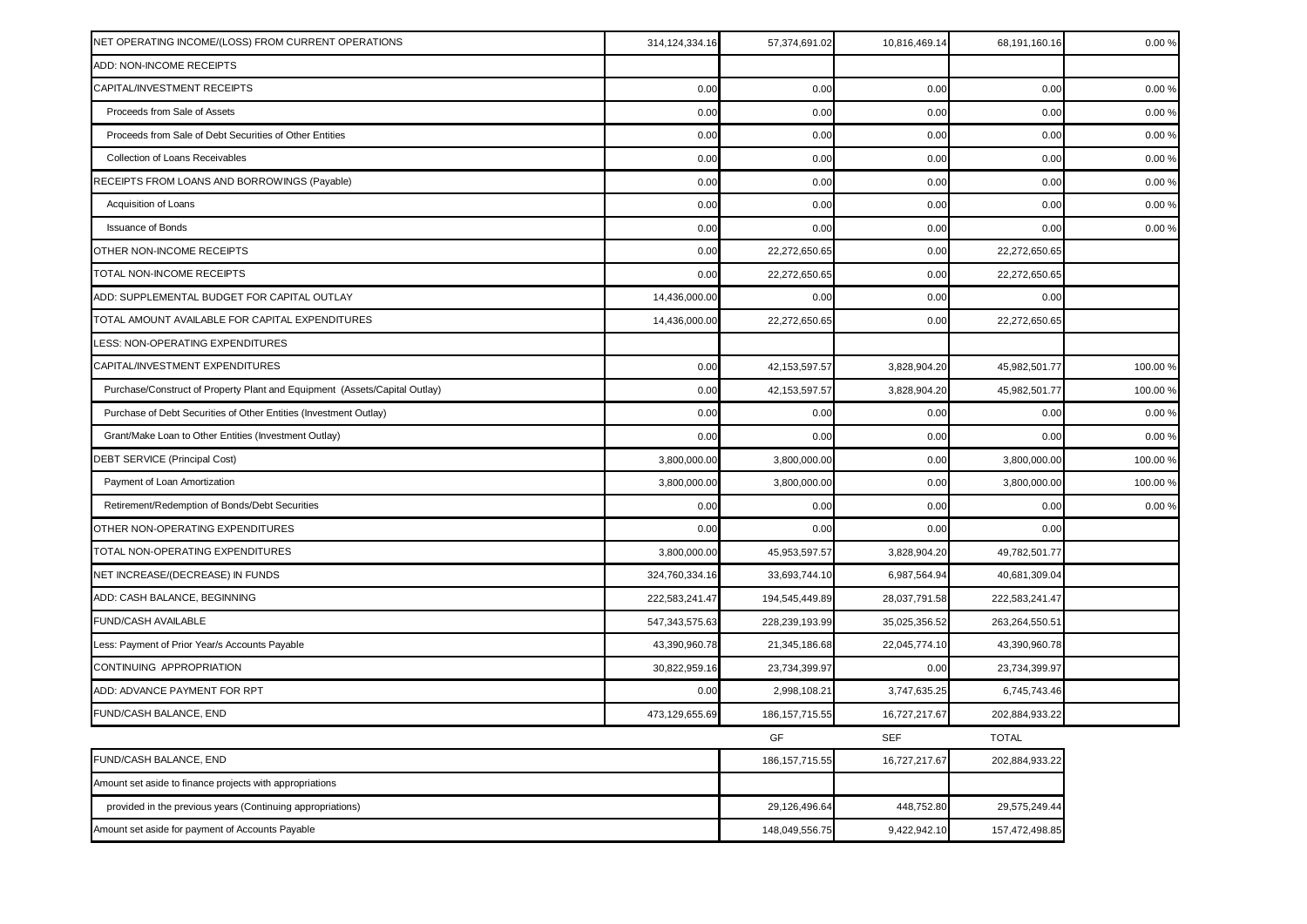| NET OPERATING INCOME/(LOSS) FROM CURRENT OPERATIONS                        | 314,124,334.16 | 57,374,691.02    | 10,816,469.14 | 68,191,160.16  | 0.00%    |
|----------------------------------------------------------------------------|----------------|------------------|---------------|----------------|----------|
| ADD: NON-INCOME RECEIPTS                                                   |                |                  |               |                |          |
| CAPITAL/INVESTMENT RECEIPTS                                                | 0.00           | 0.00             | 0.00          | 0.00           | 0.009    |
| Proceeds from Sale of Assets                                               | 0.00           | 0.00             | 0.00          | 0.00           | 0.009    |
| Proceeds from Sale of Debt Securities of Other Entities                    | 0.00           | 0.00             | 0.00          | 0.00           | 0.009    |
| Collection of Loans Receivables                                            | 0.00           | 0.00             | 0.00          | 0.00           | 0.009    |
| RECEIPTS FROM LOANS AND BORROWINGS (Payable)                               | 0.00           | 0.00             | 0.00          | 0.00           | 0.009    |
| Acquisition of Loans                                                       | 0.00           | 0.00             | 0.00          | 0.00           | 0.00%    |
| <b>Issuance of Bonds</b>                                                   | 0.00           | 0.00             | 0.00          | 0.00           | 0.00%    |
| OTHER NON-INCOME RECEIPTS                                                  | 0.00           | 22,272,650.65    | 0.00          | 22,272,650.65  |          |
| TOTAL NON-INCOME RECEIPTS                                                  | 0.00           | 22,272,650.65    | 0.00          | 22,272,650.65  |          |
| ADD: SUPPLEMENTAL BUDGET FOR CAPITAL OUTLAY                                | 14,436,000.00  | 0.00             | 0.00          | 0.00           |          |
| TOTAL AMOUNT AVAILABLE FOR CAPITAL EXPENDITURES                            | 14,436,000.00  | 22,272,650.65    | 0.00          | 22,272,650.65  |          |
| LESS: NON-OPERATING EXPENDITURES                                           |                |                  |               |                |          |
| CAPITAL/INVESTMENT EXPENDITURES                                            | 0.00           | 42, 153, 597. 57 | 3,828,904.20  | 45,982,501.77  | 100.00 % |
| Purchase/Construct of Property Plant and Equipment (Assets/Capital Outlay) | 0.00           | 42, 153, 597. 57 | 3,828,904.20  | 45,982,501.77  | 100.00   |
| Purchase of Debt Securities of Other Entities (Investment Outlay)          | 0.00           | 0.00             | 0.00          | 0.00           | 0.009    |
| Grant/Make Loan to Other Entities (Investment Outlay)                      | 0.00           | 0.00             | 0.00          | 0.00           | 0.009    |
| DEBT SERVICE (Principal Cost)                                              | 3,800,000.00   | 3,800,000.00     | 0.00          | 3,800,000.00   | 100.00 9 |
| Payment of Loan Amortization                                               | 3,800,000.00   | 3,800,000.00     | 0.00          | 3,800,000.00   | 100.00 % |
| Retirement/Redemption of Bonds/Debt Securities                             | 0.00           | 0.00             | 0.00          | 0.00           | 0.009    |
| OTHER NON-OPERATING EXPENDITURES                                           | 0.00           | 0.00             | 0.00          | 0.00           |          |
| TOTAL NON-OPERATING EXPENDITURES                                           | 3,800,000.00   | 45,953,597.57    | 3,828,904.20  | 49,782,501.77  |          |
| NET INCREASE/(DECREASE) IN FUNDS                                           | 324,760,334.16 | 33,693,744.10    | 6,987,564.94  | 40,681,309.04  |          |
| ADD: CASH BALANCE, BEGINNING                                               | 222,583,241.47 | 194,545,449.89   | 28,037,791.58 | 222,583,241.47 |          |
| FUND/CASH AVAILABLE                                                        | 547,343,575.63 | 228,239,193.99   | 35,025,356.52 | 263,264,550.51 |          |
| Less: Payment of Prior Year/s Accounts Payable                             | 43,390,960.78  | 21,345,186.68    | 22,045,774.10 | 43,390,960.78  |          |
| CONTINUING APPROPRIATION                                                   | 30,822,959.16  | 23,734,399.97    | 0.00          | 23,734,399.97  |          |
| ADD: ADVANCE PAYMENT FOR RPT                                               | 0.00           | 2,998,108.21     | 3,747,635.25  | 6,745,743.46   |          |
| FUND/CASH BALANCE, END                                                     | 473,129,655.69 | 186, 157, 715.55 | 16,727,217.67 | 202,884,933.22 |          |
|                                                                            |                | GF               | <b>SEF</b>    | <b>TOTAL</b>   |          |
| FUND/CASH BALANCE, END                                                     |                | 186, 157, 715.55 | 16,727,217.67 | 202,884,933.22 |          |
| Amount set aside to finance projects with appropriations                   |                |                  |               |                |          |
| provided in the previous years (Continuing appropriations)                 |                | 29,126,496.64    | 448,752.80    | 29,575,249.44  |          |
| Amount set aside for payment of Accounts Payable                           |                | 148,049,556.75   | 9,422,942.10  | 157,472,498.85 |          |